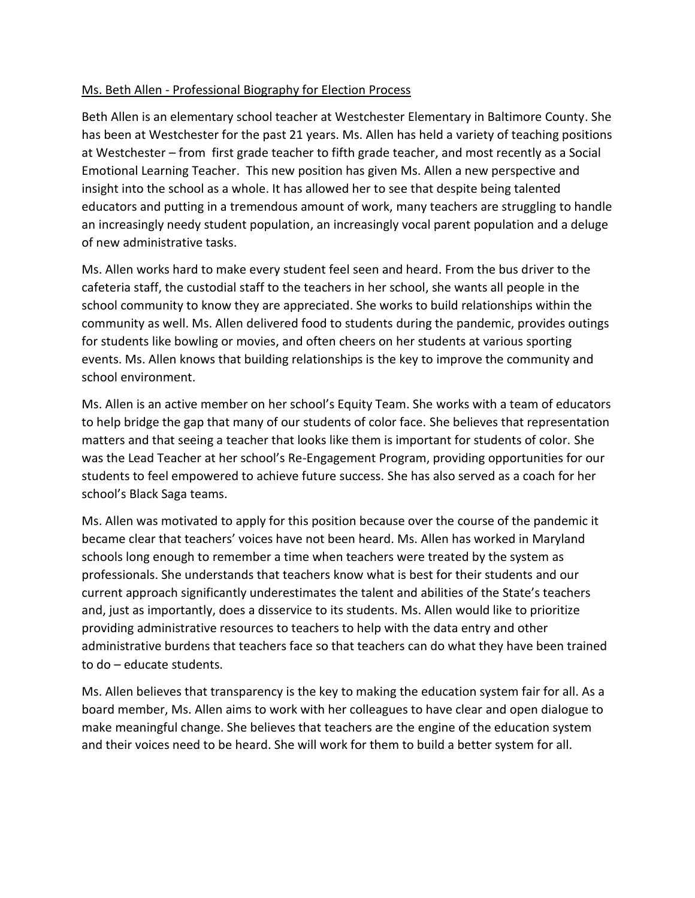## Ms. Beth Allen - Professional Biography for Election Process

Beth Allen is an elementary school teacher at Westchester Elementary in Baltimore County. She has been at Westchester for the past 21 years. Ms. Allen has held a variety of teaching positions at Westchester – from first grade teacher to fifth grade teacher, and most recently as a Social Emotional Learning Teacher. This new position has given Ms. Allen a new perspective and insight into the school as a whole. It has allowed her to see that despite being talented educators and putting in a tremendous amount of work, many teachers are struggling to handle an increasingly needy student population, an increasingly vocal parent population and a deluge of new administrative tasks.

Ms. Allen works hard to make every student feel seen and heard. From the bus driver to the cafeteria staff, the custodial staff to the teachers in her school, she wants all people in the school community to know they are appreciated. She works to build relationships within the community as well. Ms. Allen delivered food to students during the pandemic, provides outings for students like bowling or movies, and often cheers on her students at various sporting events. Ms. Allen knows that building relationships is the key to improve the community and school environment.

Ms. Allen is an active member on her school's Equity Team. She works with a team of educators to help bridge the gap that many of our students of color face. She believes that representation matters and that seeing a teacher that looks like them is important for students of color. She was the Lead Teacher at her school's Re-Engagement Program, providing opportunities for our students to feel empowered to achieve future success. She has also served as a coach for her school's Black Saga teams.

Ms. Allen was motivated to apply for this position because over the course of the pandemic it became clear that teachers' voices have not been heard. Ms. Allen has worked in Maryland schools long enough to remember a time when teachers were treated by the system as professionals. She understands that teachers know what is best for their students and our current approach significantly underestimates the talent and abilities of the State's teachers and, just as importantly, does a disservice to its students. Ms. Allen would like to prioritize providing administrative resources to teachers to help with the data entry and other administrative burdens that teachers face so that teachers can do what they have been trained to do – educate students.

Ms. Allen believes that transparency is the key to making the education system fair for all. As a board member, Ms. Allen aims to work with her colleagues to have clear and open dialogue to make meaningful change. She believes that teachers are the engine of the education system and their voices need to be heard. She will work for them to build a better system for all.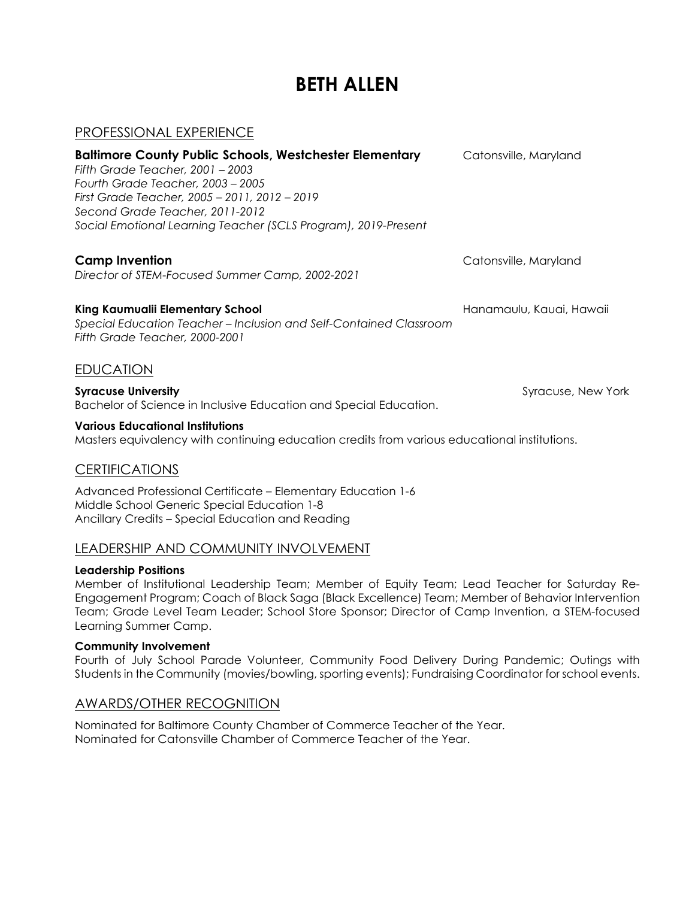# **BETH ALLEN**

## PROFESSIONAL EXPERIENCE

| <b>Baltimore County Public Schools, Westchester Elementary</b><br>Fifth Grade Teacher, 2001 – 2003<br>Fourth Grade Teacher, 2003 - 2005<br>First Grade Teacher, 2005 - 2011, 2012 - 2019<br>Second Grade Teacher, 2011-2012<br>Social Emotional Learning Teacher (SCLS Program), 2019-Present | Catonsville, Maryland    |
|-----------------------------------------------------------------------------------------------------------------------------------------------------------------------------------------------------------------------------------------------------------------------------------------------|--------------------------|
| <b>Camp Invention</b><br>Director of STEM-Focused Summer Camp, 2002-2021                                                                                                                                                                                                                      | Catonsville, Maryland    |
| King Kaumualii Elementary School<br>Special Education Teacher - Inclusion and Self-Contained Classroom<br>Fifth Grade Teacher, 2000-2001                                                                                                                                                      | Hanamaulu, Kauai, Hawaii |
| <b>EDUCATION</b>                                                                                                                                                                                                                                                                              |                          |
| <b>Syracuse University</b><br>Bachelor of Science in Inclusive Education and Special Education.                                                                                                                                                                                               | Syracuse, New York       |
| <b>Various Educational Institutions</b>                                                                                                                                                                                                                                                       |                          |

Masters equivalency with continuing education credits from various educational institutions.

## **CERTIFICATIONS**

Advanced Professional Certificate – Elementary Education 1-6 Middle School Generic Special Education 1-8 Ancillary Credits – Special Education and Reading

## LEADERSHIP AND COMMUNITY INVOLVEMENT

#### **Leadership Positions**

Member of Institutional Leadership Team; Member of Equity Team; Lead Teacher for Saturday Re-Engagement Program; Coach of Black Saga (Black Excellence) Team; Member of Behavior Intervention Team; Grade Level Team Leader; School Store Sponsor; Director of Camp Invention, a STEM-focused Learning Summer Camp.

#### **Community Involvement**

Fourth of July School Parade Volunteer, Community Food Delivery During Pandemic; Outings with Students in the Community (movies/bowling, sporting events); Fundraising Coordinator for school events.

## AWARDS/OTHER RECOGNITION

Nominated for Baltimore County Chamber of Commerce Teacher of the Year. Nominated for Catonsville Chamber of Commerce Teacher of the Year.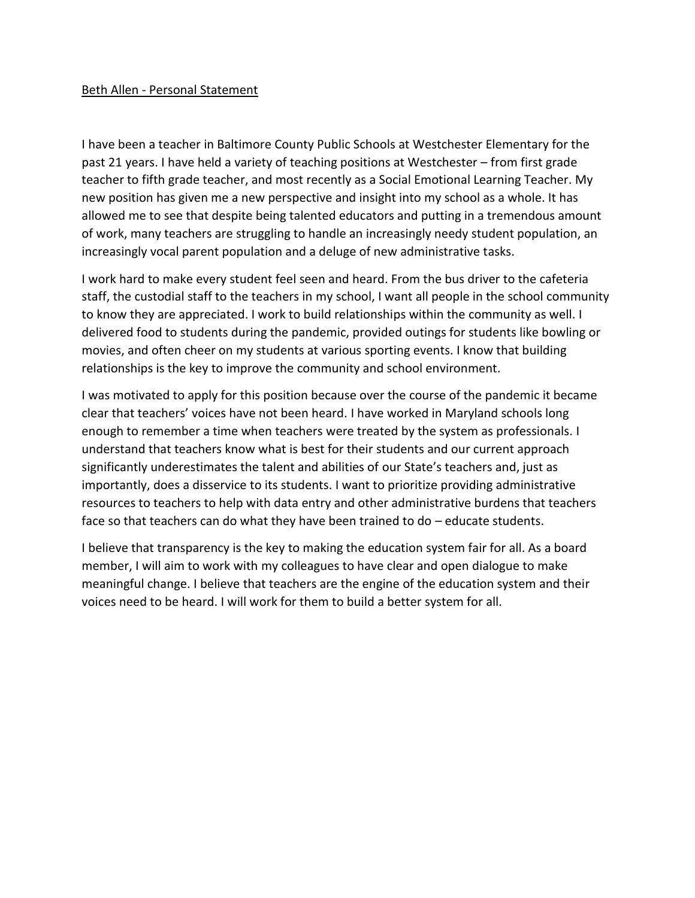#### Beth Allen - Personal Statement

I have been a teacher in Baltimore County Public Schools at Westchester Elementary for the past 21 years. I have held a variety of teaching positions at Westchester – from first grade teacher to fifth grade teacher, and most recently as a Social Emotional Learning Teacher. My new position has given me a new perspective and insight into my school as a whole. It has allowed me to see that despite being talented educators and putting in a tremendous amount of work, many teachers are struggling to handle an increasingly needy student population, an increasingly vocal parent population and a deluge of new administrative tasks.

I work hard to make every student feel seen and heard. From the bus driver to the cafeteria staff, the custodial staff to the teachers in my school, I want all people in the school community to know they are appreciated. I work to build relationships within the community as well. I delivered food to students during the pandemic, provided outings for students like bowling or movies, and often cheer on my students at various sporting events. I know that building relationships is the key to improve the community and school environment.

I was motivated to apply for this position because over the course of the pandemic it became clear that teachers' voices have not been heard. I have worked in Maryland schools long enough to remember a time when teachers were treated by the system as professionals. I understand that teachers know what is best for their students and our current approach significantly underestimates the talent and abilities of our State's teachers and, just as importantly, does a disservice to its students. I want to prioritize providing administrative resources to teachers to help with data entry and other administrative burdens that teachers face so that teachers can do what they have been trained to do – educate students.

I believe that transparency is the key to making the education system fair for all. As a board member, I will aim to work with my colleagues to have clear and open dialogue to make meaningful change. I believe that teachers are the engine of the education system and their voices need to be heard. I will work for them to build a better system for all.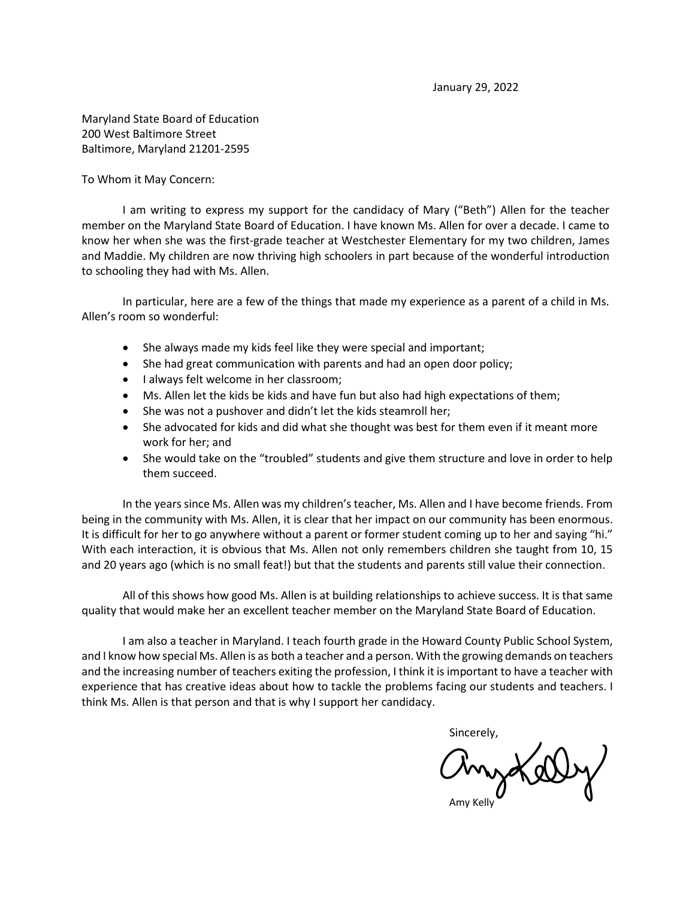Maryland State Board of Education 200 West Baltimore Street Baltimore, Maryland 21201-2595

To Whom it May Concern:

I am writing to express my support for the candidacy of Mary ("Beth") Allen for the teacher member on the Maryland State Board of Education. I have known Ms. Allen for over a decade. I came to know her when she was the first-grade teacher at Westchester Elementary for my two children, James and Maddie. My children are now thriving high schoolers in part because of the wonderful introduction to schooling they had with Ms. Allen.

In particular, here are a few of the things that made my experience as a parent of a child in Ms. Allen's room so wonderful:

- She always made my kids feel like they were special and important;
- She had great communication with parents and had an open door policy;
- I always felt welcome in her classroom;
- Ms. Allen let the kids be kids and have fun but also had high expectations of them;
- She was not a pushover and didn't let the kids steamroll her;
- She advocated for kids and did what she thought was best for them even if it meant more work for her; and
- She would take on the "troubled" students and give them structure and love in order to help them succeed.

In the years since Ms. Allen was my children's teacher, Ms. Allen and I have become friends. From being in the community with Ms. Allen, it is clear that her impact on our community has been enormous. It is difficult for her to go anywhere without a parent or former student coming up to her and saying "hi." With each interaction, it is obvious that Ms. Allen not only remembers children she taught from 10, 15 and 20 years ago (which is no small feat!) but that the students and parents still value their connection.

All of this shows how good Ms. Allen is at building relationships to achieve success. It is that same quality that would make her an excellent teacher member on the Maryland State Board of Education.

I am also a teacher in Maryland. I teach fourth grade in the Howard County Public School System, and I know how special Ms. Allen is as both a teacher and a person. With the growing demands on teachers and the increasing number of teachers exiting the profession, I think it is important to have a teacher with experience that has creative ideas about how to tackle the problems facing our students and teachers. I think Ms. Allen is that person and that is why I support her candidacy.

Sincerely,

Myd

Amy Kelly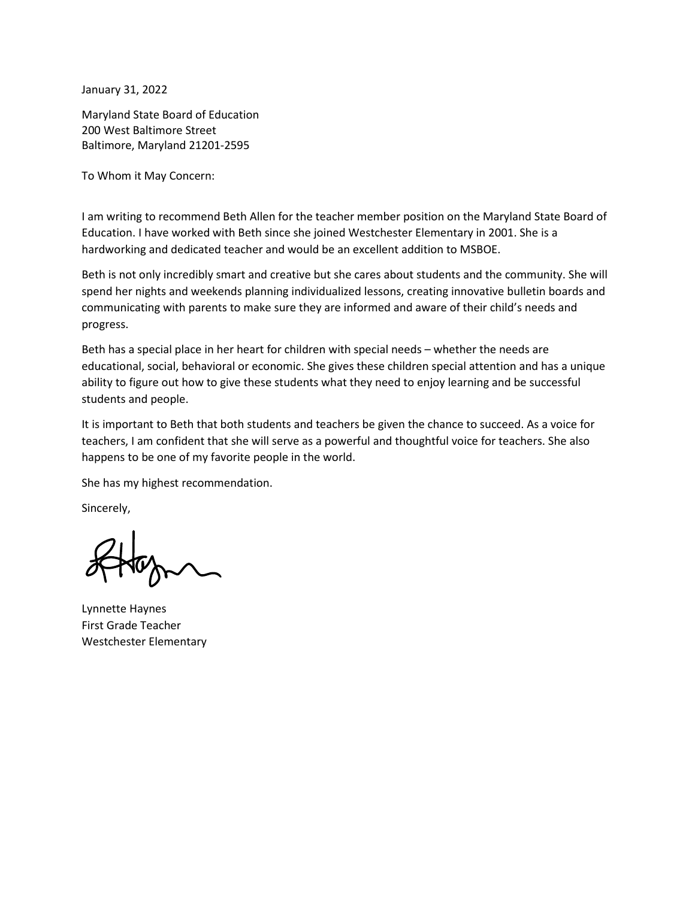January 31, 2022

Maryland State Board of Education 200 West Baltimore Street Baltimore, Maryland 21201-2595

To Whom it May Concern:

 I am writing to recommend Beth Allen for the teacher member position on the Maryland State Board of Education. I have worked with Beth since she joined Westchester Elementary in 2001. She is a hardworking and dedicated teacher and would be an excellent addition to MSBOE.

 Beth is not only incredibly smart and creative but she cares about students and the community. She will communicating with parents to make sure they are informed and aware of their child's needs and spend her nights and weekends planning individualized lessons, creating innovative bulletin boards and progress.

 ability to figure out how to give these students what they need to enjoy learning and be successful students and people. Beth has a special place in her heart for children with special needs – whether the needs are educational, social, behavioral or economic. She gives these children special attention and has a unique

 teachers, I am confident that she will serve as a powerful and thoughtful voice for teachers. She also happens to be one of my favorite people in the world. It is important to Beth that both students and teachers be given the chance to succeed. As a voice for

She has my highest recommendation.

Sincerely,

Lynnette Haynes First Grade Teacher Westchester Elementary